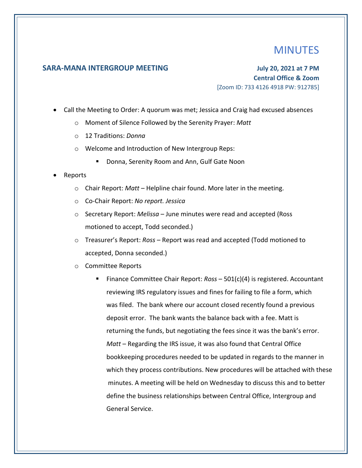## MINUTES

## **SARA-MANA INTERGROUP MEETING July 20, 2021 at 7 PM**

**Central Office & Zoom** [Zoom ID: 733 4126 4918 PW: 912785]

- Call the Meeting to Order: A quorum was met; Jessica and Craig had excused absences
	- o Moment of Silence Followed by the Serenity Prayer: *Matt*
	- o 12 Traditions: *Donna*
	- o Welcome and Introduction of New Intergroup Reps:
		- Donna, Serenity Room and Ann, Gulf Gate Noon

## • Reports

- o Chair Report: *Matt*  Helpline chair found. More later in the meeting.
- o Co-Chair Report: *No report. Jessica*
- o Secretary Report: *Melissa*  June minutes were read and accepted (Ross motioned to accept, Todd seconded.)
- o Treasurer's Report: *Ross*  Report was read and accepted (Todd motioned to accepted, Donna seconded.)
- o Committee Reports
	- Finance Committee Chair Report: *Ross* 501(c)(4) is registered. Accountant reviewing IRS regulatory issues and fines for failing to file a form, which was filed. The bank where our account closed recently found a previous deposit error. The bank wants the balance back with a fee. Matt is returning the funds, but negotiating the fees since it was the bank's error. *Matt* – Regarding the IRS issue, it was also found that Central Office bookkeeping procedures needed to be updated in regards to the manner in which they process contributions. New procedures will be attached with these minutes. A meeting will be held on Wednesday to discuss this and to better define the business relationships between Central Office, Intergroup and General Service.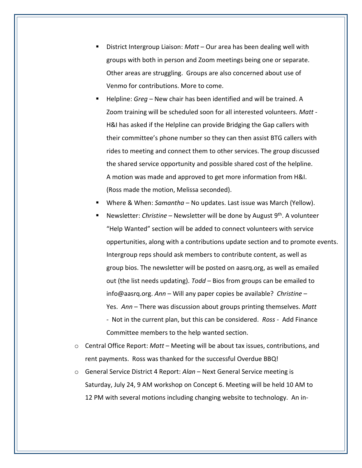- District Intergroup Liaison: *Matt* Our area has been dealing well with groups with both in person and Zoom meetings being one or separate. Other areas are struggling. Groups are also concerned about use of Venmo for contributions. More to come.
- Helpline: *Greg* New chair has been identified and will be trained. A Zoom training will be scheduled soon for all interested volunteers. *Matt -* H&I has asked if the Helpline can provide Bridging the Gap callers with their committee's phone number so they can then assist BTG callers with rides to meeting and connect them to other services. The group discussed the shared service opportunity and possible shared cost of the helpline. A motion was made and approved to get more information from H&I. (Ross made the motion, Melissa seconded).
- Where & When: *Samantha* No updates. Last issue was March (Yellow).
- Newsletter: *Christine* Newsletter will be done by August 9<sup>th</sup>. A volunteer "Help Wanted" section will be added to connect volunteers with service oppertunities, along with a contributions update section and to promote events. Intergroup reps should ask members to contribute content, as well as group bios. The newsletter will be posted on aasrq.org, as well as emailed out (the list needs updating). *Todd –* Bios from groups can be emailed to info@aasrq.org. *Ann* – Will any paper copies be available? *Christine* – Yes. *Ann* – There was discussion about groups printing themselves. *Matt -* Not in the current plan, but this can be considered. *Ross -* Add Finance Committee members to the help wanted section.
- o Central Office Report: *Matt* Meeting will be about tax issues, contributions, and rent payments. Ross was thanked for the successful Overdue BBQ!
- o General Service District 4 Report: *Alan* Next General Service meeting is Saturday, July 24, 9 AM workshop on Concept 6. Meeting will be held 10 AM to 12 PM with several motions including changing website to technology. An in-